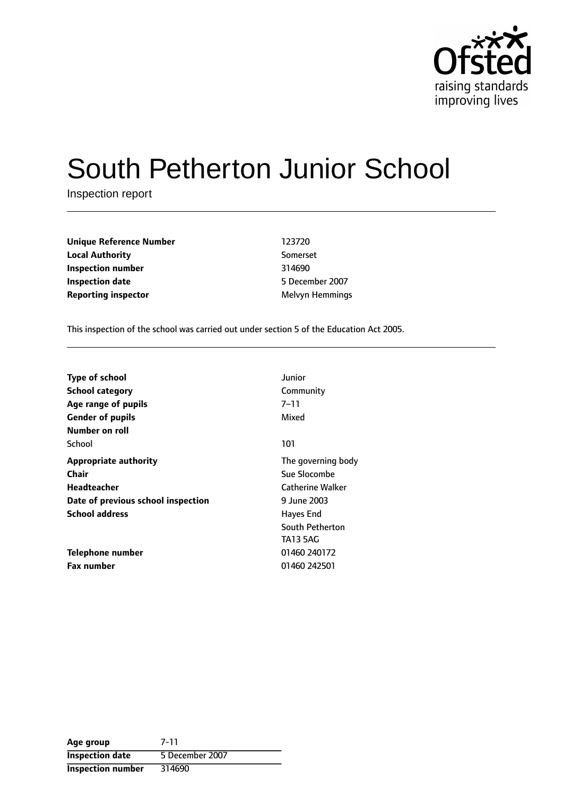

# South Petherton Junior School

Inspection report

**Unique Reference Number** 123720 **Local Authority** Somerset **Inspection number** 314690 **Inspection date** 5 December 2007 **Reporting inspector** Melvyn Hemmings

This inspection of the school was carried out under section 5 of the Education Act 2005.

| <b>Type of school</b>              | Junior             |
|------------------------------------|--------------------|
| <b>School category</b>             | Community          |
| Age range of pupils                | 7–11               |
| <b>Gender of pupils</b>            | Mixed              |
| Number on roll                     |                    |
| School                             | 101                |
| <b>Appropriate authority</b>       | The governing body |
| Chair                              | Sue Slocombe       |
| Headteacher                        | Catherine Walker   |
| Date of previous school inspection | 9 June 2003        |
| <b>School address</b>              | Hayes End          |
|                                    | South Petherton    |
|                                    | <b>TA13 5AG</b>    |
| Telephone number                   | 01460 240172       |
| <b>Fax number</b>                  | 01460 242501       |

| Age group                | 7-11            |
|--------------------------|-----------------|
| <b>Inspection date</b>   | 5 December 2007 |
| <b>Inspection number</b> | 314690          |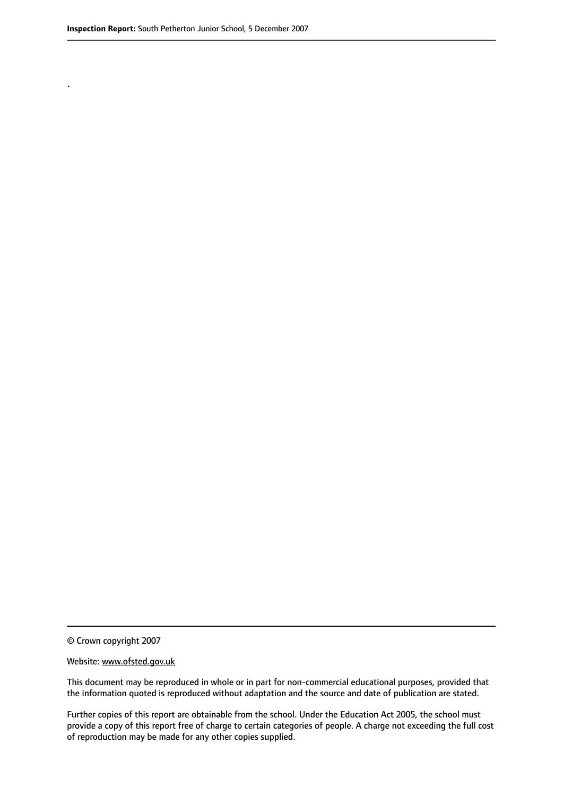.

© Crown copyright 2007

#### Website: www.ofsted.gov.uk

This document may be reproduced in whole or in part for non-commercial educational purposes, provided that the information quoted is reproduced without adaptation and the source and date of publication are stated.

Further copies of this report are obtainable from the school. Under the Education Act 2005, the school must provide a copy of this report free of charge to certain categories of people. A charge not exceeding the full cost of reproduction may be made for any other copies supplied.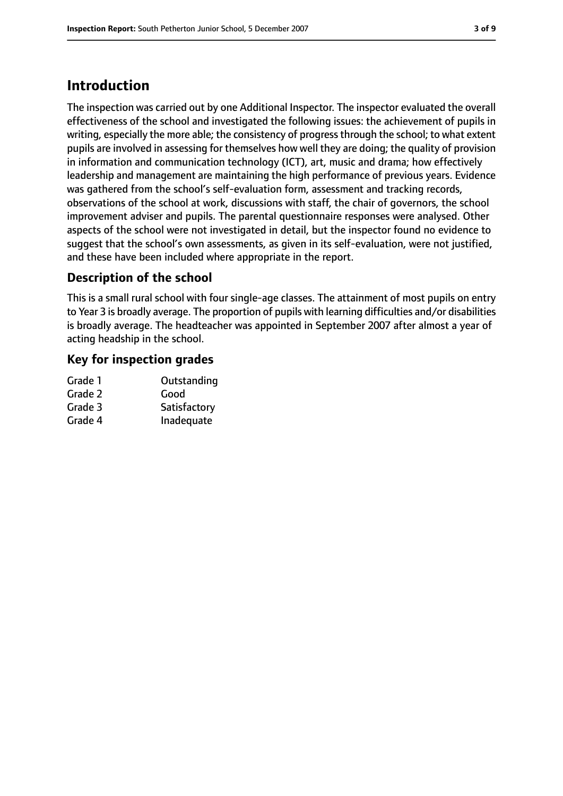# **Introduction**

The inspection was carried out by one Additional Inspector. The inspector evaluated the overall effectiveness of the school and investigated the following issues: the achievement of pupils in writing, especially the more able; the consistency of progress through the school; to what extent pupils are involved in assessing for themselves how well they are doing; the quality of provision in information and communication technology (ICT), art, music and drama; how effectively leadership and management are maintaining the high performance of previous years. Evidence was gathered from the school's self-evaluation form, assessment and tracking records, observations of the school at work, discussions with staff, the chair of governors, the school improvement adviser and pupils. The parental questionnaire responses were analysed. Other aspects of the school were not investigated in detail, but the inspector found no evidence to suggest that the school's own assessments, as given in its self-evaluation, were not justified, and these have been included where appropriate in the report.

#### **Description of the school**

This is a small rural school with four single-age classes. The attainment of most pupils on entry to Year 3 is broadly average. The proportion of pupils with learning difficulties and/or disabilities is broadly average. The headteacher was appointed in September 2007 after almost a year of acting headship in the school.

#### **Key for inspection grades**

| Grade 1 | Outstanding  |
|---------|--------------|
| Grade 2 | Good         |
| Grade 3 | Satisfactory |
| Grade 4 | Inadequate   |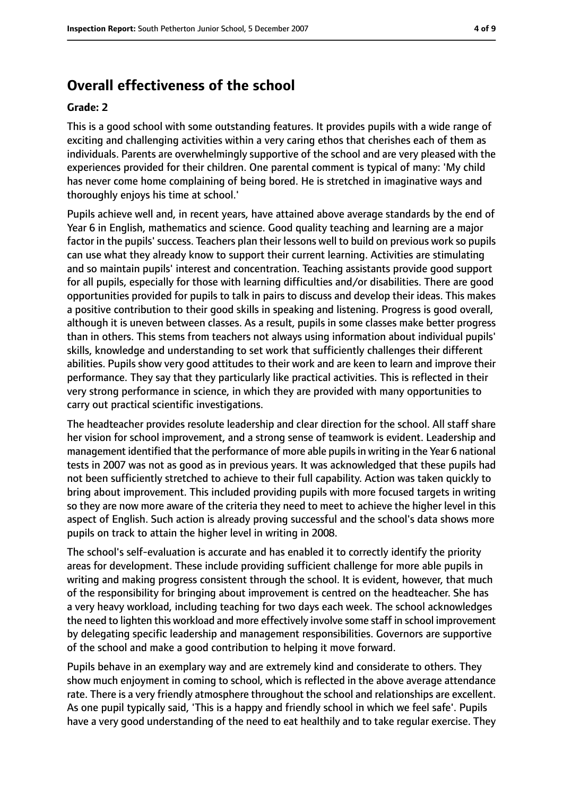## **Overall effectiveness of the school**

#### **Grade: 2**

This is a good school with some outstanding features. It provides pupils with a wide range of exciting and challenging activities within a very caring ethos that cherishes each of them as individuals. Parents are overwhelmingly supportive of the school and are very pleased with the experiences provided for their children. One parental comment is typical of many: 'My child has never come home complaining of being bored. He is stretched in imaginative ways and thoroughly enjoys his time at school.'

Pupils achieve well and, in recent years, have attained above average standards by the end of Year 6 in English, mathematics and science. Good quality teaching and learning are a major factor in the pupils' success. Teachers plan their lessons well to build on previous work so pupils can use what they already know to support their current learning. Activities are stimulating and so maintain pupils' interest and concentration. Teaching assistants provide good support for all pupils, especially for those with learning difficulties and/or disabilities. There are good opportunities provided for pupils to talk in pairs to discuss and develop their ideas. This makes a positive contribution to their good skills in speaking and listening. Progress is good overall, although it is uneven between classes. As a result, pupils in some classes make better progress than in others. This stems from teachers not always using information about individual pupils' skills, knowledge and understanding to set work that sufficiently challenges their different abilities. Pupils show very good attitudes to their work and are keen to learn and improve their performance. They say that they particularly like practical activities. This is reflected in their very strong performance in science, in which they are provided with many opportunities to carry out practical scientific investigations.

The headteacher provides resolute leadership and clear direction for the school. All staff share her vision for school improvement, and a strong sense of teamwork is evident. Leadership and management identified that the performance of more able pupils in writing in the Year 6 national tests in 2007 was not as good as in previous years. It was acknowledged that these pupils had not been sufficiently stretched to achieve to their full capability. Action was taken quickly to bring about improvement. This included providing pupils with more focused targets in writing so they are now more aware of the criteria they need to meet to achieve the higher level in this aspect of English. Such action is already proving successful and the school's data shows more pupils on track to attain the higher level in writing in 2008.

The school's self-evaluation is accurate and has enabled it to correctly identify the priority areas for development. These include providing sufficient challenge for more able pupils in writing and making progress consistent through the school. It is evident, however, that much of the responsibility for bringing about improvement is centred on the headteacher. She has a very heavy workload, including teaching for two days each week. The school acknowledges the need to lighten this workload and more effectively involve some staff in school improvement by delegating specific leadership and management responsibilities. Governors are supportive of the school and make a good contribution to helping it move forward.

Pupils behave in an exemplary way and are extremely kind and considerate to others. They show much enjoyment in coming to school, which is reflected in the above average attendance rate. There is a very friendly atmosphere throughout the school and relationships are excellent. As one pupil typically said, 'This is a happy and friendly school in which we feel safe'. Pupils have a very good understanding of the need to eat healthily and to take regular exercise. They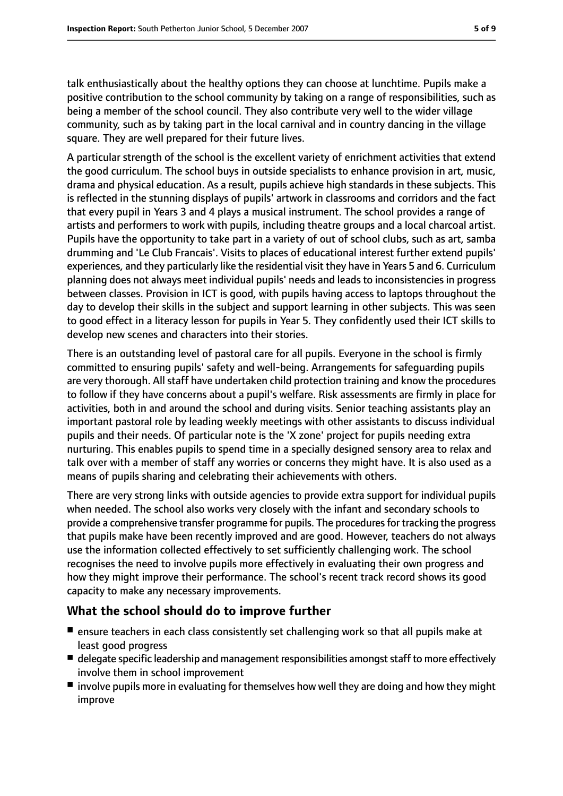talk enthusiastically about the healthy options they can choose at lunchtime. Pupils make a positive contribution to the school community by taking on a range of responsibilities, such as being a member of the school council. They also contribute very well to the wider village community, such as by taking part in the local carnival and in country dancing in the village square. They are well prepared for their future lives.

A particular strength of the school is the excellent variety of enrichment activities that extend the good curriculum. The school buys in outside specialists to enhance provision in art, music, drama and physical education. As a result, pupils achieve high standards in these subjects. This is reflected in the stunning displays of pupils' artwork in classrooms and corridors and the fact that every pupil in Years 3 and 4 plays a musical instrument. The school provides a range of artists and performers to work with pupils, including theatre groups and a local charcoal artist. Pupils have the opportunity to take part in a variety of out of school clubs, such as art, samba drumming and 'Le Club Francais'. Visits to places of educational interest further extend pupils' experiences, and they particularly like the residential visit they have in Years 5 and 6. Curriculum planning does not always meet individual pupils' needs and leads to inconsistencies in progress between classes. Provision in ICT is good, with pupils having access to laptops throughout the day to develop their skills in the subject and support learning in other subjects. This was seen to good effect in a literacy lesson for pupils in Year 5. They confidently used their ICT skills to develop new scenes and characters into their stories.

There is an outstanding level of pastoral care for all pupils. Everyone in the school is firmly committed to ensuring pupils' safety and well-being. Arrangements for safeguarding pupils are very thorough. All staff have undertaken child protection training and know the procedures to follow if they have concerns about a pupil's welfare. Risk assessments are firmly in place for activities, both in and around the school and during visits. Senior teaching assistants play an important pastoral role by leading weekly meetings with other assistants to discuss individual pupils and their needs. Of particular note is the 'X zone' project for pupils needing extra nurturing. This enables pupils to spend time in a specially designed sensory area to relax and talk over with a member of staff any worries or concerns they might have. It is also used as a means of pupils sharing and celebrating their achievements with others.

There are very strong links with outside agencies to provide extra support for individual pupils when needed. The school also works very closely with the infant and secondary schools to provide a comprehensive transfer programme for pupils. The proceduresfor tracking the progress that pupils make have been recently improved and are good. However, teachers do not always use the information collected effectively to set sufficiently challenging work. The school recognises the need to involve pupils more effectively in evaluating their own progress and how they might improve their performance. The school's recent track record shows its good capacity to make any necessary improvements.

#### **What the school should do to improve further**

- ensure teachers in each class consistently set challenging work so that all pupils make at least good progress
- delegate specific leadership and management responsibilities amongst staff to more effectively involve them in school improvement
- involve pupils more in evaluating for themselves how well they are doing and how they might improve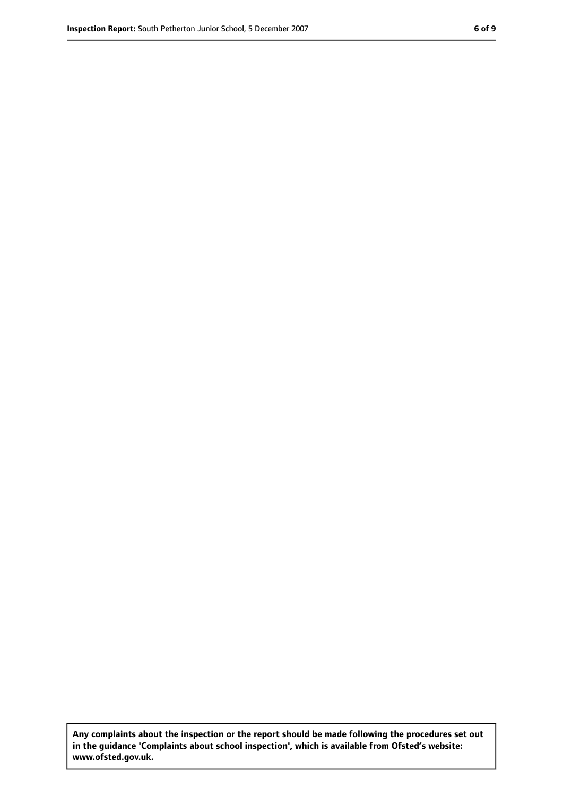**Any complaints about the inspection or the report should be made following the procedures set out in the guidance 'Complaints about school inspection', which is available from Ofsted's website: www.ofsted.gov.uk.**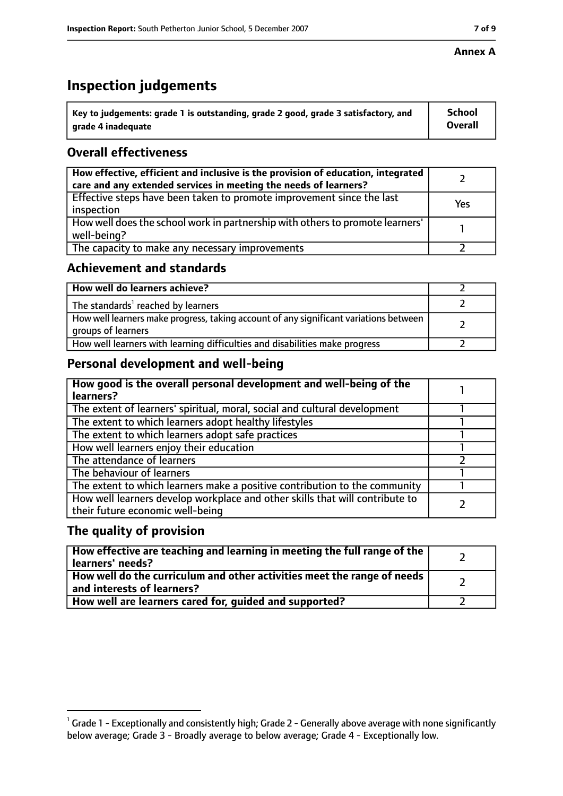# **Inspection judgements**

| $^{\backprime}$ Key to judgements: grade 1 is outstanding, grade 2 good, grade 3 satisfactory, and | School         |
|----------------------------------------------------------------------------------------------------|----------------|
| arade 4 inadequate                                                                                 | <b>Overall</b> |

## **Overall effectiveness**

| How effective, efficient and inclusive is the provision of education, integrated<br>care and any extended services in meeting the needs of learners? |     |
|------------------------------------------------------------------------------------------------------------------------------------------------------|-----|
| Effective steps have been taken to promote improvement since the last<br>inspection                                                                  | Yes |
| How well does the school work in partnership with others to promote learners'<br>well-being?                                                         |     |
| The capacity to make any necessary improvements                                                                                                      |     |

#### **Achievement and standards**

| How well do learners achieve?                                                                               |  |
|-------------------------------------------------------------------------------------------------------------|--|
| The standards <sup>1</sup> reached by learners                                                              |  |
| How well learners make progress, taking account of any significant variations between<br>groups of learners |  |
| How well learners with learning difficulties and disabilities make progress                                 |  |

## **Personal development and well-being**

| How good is the overall personal development and well-being of the<br>learners?                                  |  |
|------------------------------------------------------------------------------------------------------------------|--|
| The extent of learners' spiritual, moral, social and cultural development                                        |  |
| The extent to which learners adopt healthy lifestyles                                                            |  |
| The extent to which learners adopt safe practices                                                                |  |
| How well learners enjoy their education                                                                          |  |
| The attendance of learners                                                                                       |  |
| The behaviour of learners                                                                                        |  |
| The extent to which learners make a positive contribution to the community                                       |  |
| How well learners develop workplace and other skills that will contribute to<br>their future economic well-being |  |

#### **The quality of provision**

| How effective are teaching and learning in meeting the full range of the<br>learners' needs?                     |  |
|------------------------------------------------------------------------------------------------------------------|--|
| How well do the curriculum and other activities meet the range of needs<br>$^{\rm t}$ and interests of learners? |  |
| How well are learners cared for, guided and supported?                                                           |  |

 $^1$  Grade 1 - Exceptionally and consistently high; Grade 2 - Generally above average with none significantly below average; Grade 3 - Broadly average to below average; Grade 4 - Exceptionally low.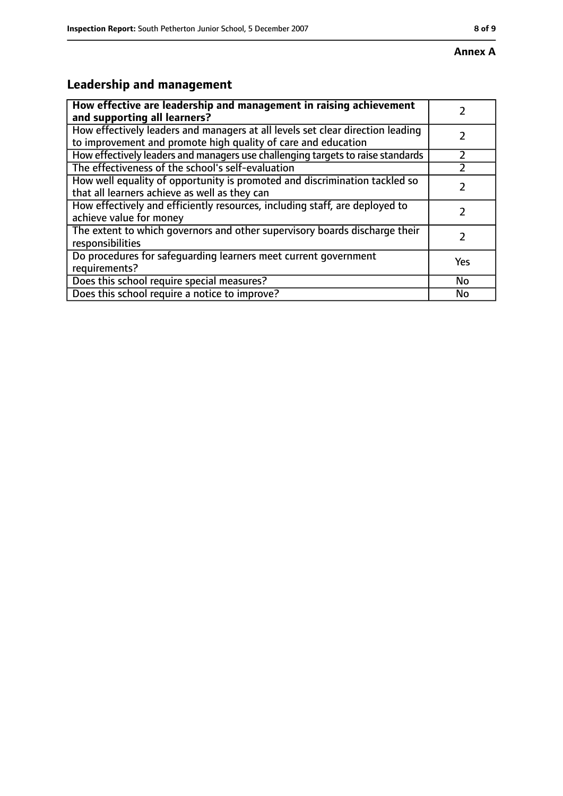# **Leadership and management**

| How effective are leadership and management in raising achievement<br>and supporting all learners?                                              |     |
|-------------------------------------------------------------------------------------------------------------------------------------------------|-----|
| How effectively leaders and managers at all levels set clear direction leading<br>to improvement and promote high quality of care and education |     |
| How effectively leaders and managers use challenging targets to raise standards                                                                 |     |
| The effectiveness of the school's self-evaluation                                                                                               |     |
| How well equality of opportunity is promoted and discrimination tackled so<br>that all learners achieve as well as they can                     |     |
| How effectively and efficiently resources, including staff, are deployed to<br>achieve value for money                                          |     |
| The extent to which governors and other supervisory boards discharge their<br>responsibilities                                                  |     |
| Do procedures for safequarding learners meet current government<br>requirements?                                                                | Yes |
| Does this school require special measures?                                                                                                      | No  |
| Does this school require a notice to improve?                                                                                                   | No  |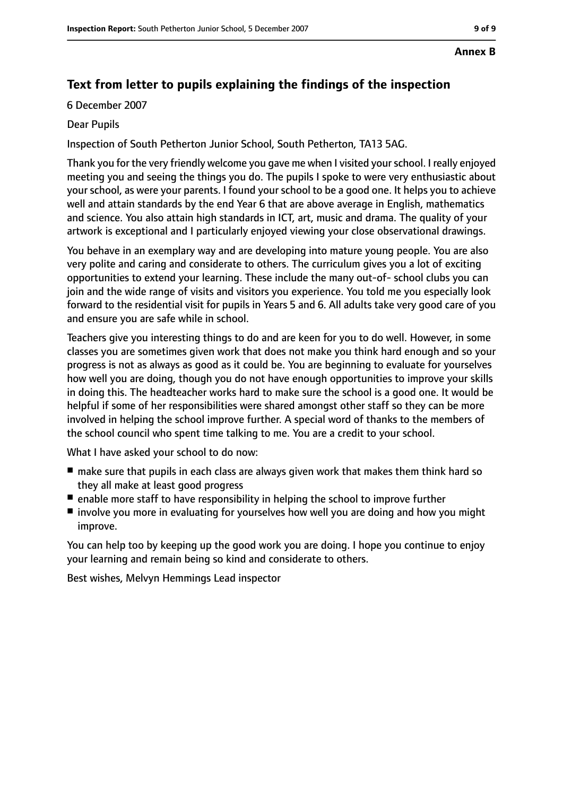#### **Annex B**

## **Text from letter to pupils explaining the findings of the inspection**

6 December 2007

#### Dear Pupils

Inspection of South Petherton Junior School, South Petherton, TA13 5AG.

Thank you for the very friendly welcome you gave me when I visited yourschool. I really enjoyed meeting you and seeing the things you do. The pupils I spoke to were very enthusiastic about your school, as were your parents. I found your school to be a good one. It helps you to achieve well and attain standards by the end Year 6 that are above average in English, mathematics and science. You also attain high standards in ICT, art, music and drama. The quality of your artwork is exceptional and I particularly enjoyed viewing your close observational drawings.

You behave in an exemplary way and are developing into mature young people. You are also very polite and caring and considerate to others. The curriculum gives you a lot of exciting opportunities to extend your learning. These include the many out-of- school clubs you can join and the wide range of visits and visitors you experience. You told me you especially look forward to the residential visit for pupils in Years 5 and 6. All adults take very good care of you and ensure you are safe while in school.

Teachers give you interesting things to do and are keen for you to do well. However, in some classes you are sometimes given work that does not make you think hard enough and so your progress is not as always as good as it could be. You are beginning to evaluate for yourselves how well you are doing, though you do not have enough opportunities to improve your skills in doing this. The headteacher works hard to make sure the school is a good one. It would be helpful if some of her responsibilities were shared amongst other staff so they can be more involved in helping the school improve further. A special word of thanks to the members of the school council who spent time talking to me. You are a credit to your school.

What I have asked your school to do now:

- make sure that pupils in each class are always given work that makes them think hard so they all make at least good progress
- enable more staff to have responsibility in helping the school to improve further
- involve you more in evaluating for yourselves how well you are doing and how you might improve.

You can help too by keeping up the good work you are doing. I hope you continue to enjoy your learning and remain being so kind and considerate to others.

Best wishes, Melvyn Hemmings Lead inspector